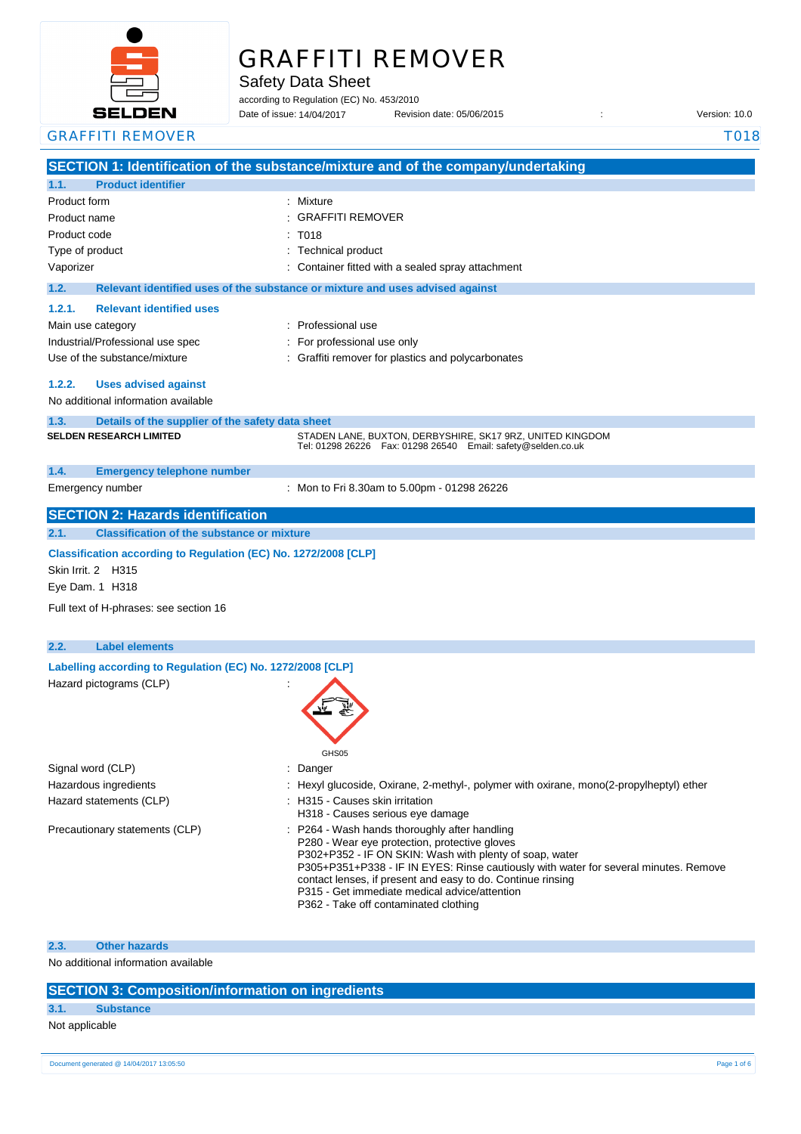

# GRAFFITI REMOVER

Safety Data Sheet

according to Regulation (EC) No. 453/2010

Date of issue: Revision date: 05/06/2015 : Version: 10.0 Date of issue: 14/04/2017

| <b>GRAFFITI REMOVER</b>                                         |                                                                                                                                                                                                                                                                                                                                                                                                            | T018 |
|-----------------------------------------------------------------|------------------------------------------------------------------------------------------------------------------------------------------------------------------------------------------------------------------------------------------------------------------------------------------------------------------------------------------------------------------------------------------------------------|------|
|                                                                 | SECTION 1: Identification of the substance/mixture and of the company/undertaking                                                                                                                                                                                                                                                                                                                          |      |
| <b>Product identifier</b><br>1.1.                               |                                                                                                                                                                                                                                                                                                                                                                                                            |      |
| Product form                                                    | : Mixture                                                                                                                                                                                                                                                                                                                                                                                                  |      |
| Product name                                                    | <b>GRAFFITI REMOVER</b>                                                                                                                                                                                                                                                                                                                                                                                    |      |
| Product code                                                    | T018                                                                                                                                                                                                                                                                                                                                                                                                       |      |
| Type of product                                                 | <b>Technical product</b>                                                                                                                                                                                                                                                                                                                                                                                   |      |
| Vaporizer                                                       | Container fitted with a sealed spray attachment                                                                                                                                                                                                                                                                                                                                                            |      |
| 1.2.                                                            | Relevant identified uses of the substance or mixture and uses advised against                                                                                                                                                                                                                                                                                                                              |      |
| <b>Relevant identified uses</b><br>1.2.1.                       |                                                                                                                                                                                                                                                                                                                                                                                                            |      |
| Main use category                                               | : Professional use                                                                                                                                                                                                                                                                                                                                                                                         |      |
| Industrial/Professional use spec                                | For professional use only                                                                                                                                                                                                                                                                                                                                                                                  |      |
| Use of the substance/mixture                                    | Graffiti remover for plastics and polycarbonates                                                                                                                                                                                                                                                                                                                                                           |      |
|                                                                 |                                                                                                                                                                                                                                                                                                                                                                                                            |      |
| 1.2.2.<br><b>Uses advised against</b>                           |                                                                                                                                                                                                                                                                                                                                                                                                            |      |
| No additional information available                             |                                                                                                                                                                                                                                                                                                                                                                                                            |      |
| 1.3.<br>Details of the supplier of the safety data sheet        |                                                                                                                                                                                                                                                                                                                                                                                                            |      |
| <b>SELDEN RESEARCH LIMITED</b>                                  | STADEN LANE, BUXTON, DERBYSHIRE, SK17 9RZ, UNITED KINGDOM<br>Tel: 01298 26226    Fax: 01298 26540    Email: safety@selden.co.uk                                                                                                                                                                                                                                                                            |      |
| 1.4.<br><b>Emergency telephone number</b>                       |                                                                                                                                                                                                                                                                                                                                                                                                            |      |
| Emergency number                                                | : Mon to Fri 8.30am to 5.00pm - 01298 26226                                                                                                                                                                                                                                                                                                                                                                |      |
| <b>SECTION 2: Hazards identification</b>                        |                                                                                                                                                                                                                                                                                                                                                                                                            |      |
| <b>Classification of the substance or mixture</b><br>2.1.       |                                                                                                                                                                                                                                                                                                                                                                                                            |      |
| Classification according to Regulation (EC) No. 1272/2008 [CLP] |                                                                                                                                                                                                                                                                                                                                                                                                            |      |
| Skin Irrit. 2 H315                                              |                                                                                                                                                                                                                                                                                                                                                                                                            |      |
| Eye Dam. 1 H318                                                 |                                                                                                                                                                                                                                                                                                                                                                                                            |      |
|                                                                 |                                                                                                                                                                                                                                                                                                                                                                                                            |      |
| Full text of H-phrases: see section 16                          |                                                                                                                                                                                                                                                                                                                                                                                                            |      |
|                                                                 |                                                                                                                                                                                                                                                                                                                                                                                                            |      |
| 2.2.<br><b>Label elements</b>                                   |                                                                                                                                                                                                                                                                                                                                                                                                            |      |
| Labelling according to Regulation (EC) No. 1272/2008 [CLP]      |                                                                                                                                                                                                                                                                                                                                                                                                            |      |
| Hazard pictograms (CLP)                                         |                                                                                                                                                                                                                                                                                                                                                                                                            |      |
|                                                                 |                                                                                                                                                                                                                                                                                                                                                                                                            |      |
|                                                                 |                                                                                                                                                                                                                                                                                                                                                                                                            |      |
|                                                                 |                                                                                                                                                                                                                                                                                                                                                                                                            |      |
|                                                                 | GHS05                                                                                                                                                                                                                                                                                                                                                                                                      |      |
| Signal word (CLP)                                               | Danger                                                                                                                                                                                                                                                                                                                                                                                                     |      |
| Hazardous ingredients                                           | Hexyl glucoside, Oxirane, 2-methyl-, polymer with oxirane, mono(2-propylheptyl) ether                                                                                                                                                                                                                                                                                                                      |      |
| Hazard statements (CLP)                                         | : H315 - Causes skin irritation                                                                                                                                                                                                                                                                                                                                                                            |      |
|                                                                 | H318 - Causes serious eye damage                                                                                                                                                                                                                                                                                                                                                                           |      |
| Precautionary statements (CLP)                                  | : P264 - Wash hands thoroughly after handling<br>P280 - Wear eye protection, protective gloves<br>P302+P352 - IF ON SKIN: Wash with plenty of soap, water<br>P305+P351+P338 - IF IN EYES: Rinse cautiously with water for several minutes. Remove<br>contact lenses, if present and easy to do. Continue rinsing<br>P315 - Get immediate medical advice/attention<br>P362 - Take off contaminated clothing |      |
|                                                                 |                                                                                                                                                                                                                                                                                                                                                                                                            |      |

**2.3. Other hazards**

No additional information available

# **SECTION 3: Composition/information on ingredients**

# **3.1. Substance**

Not applicable

Document generated @ 14/04/2017 13:05:50 Page 1 of 6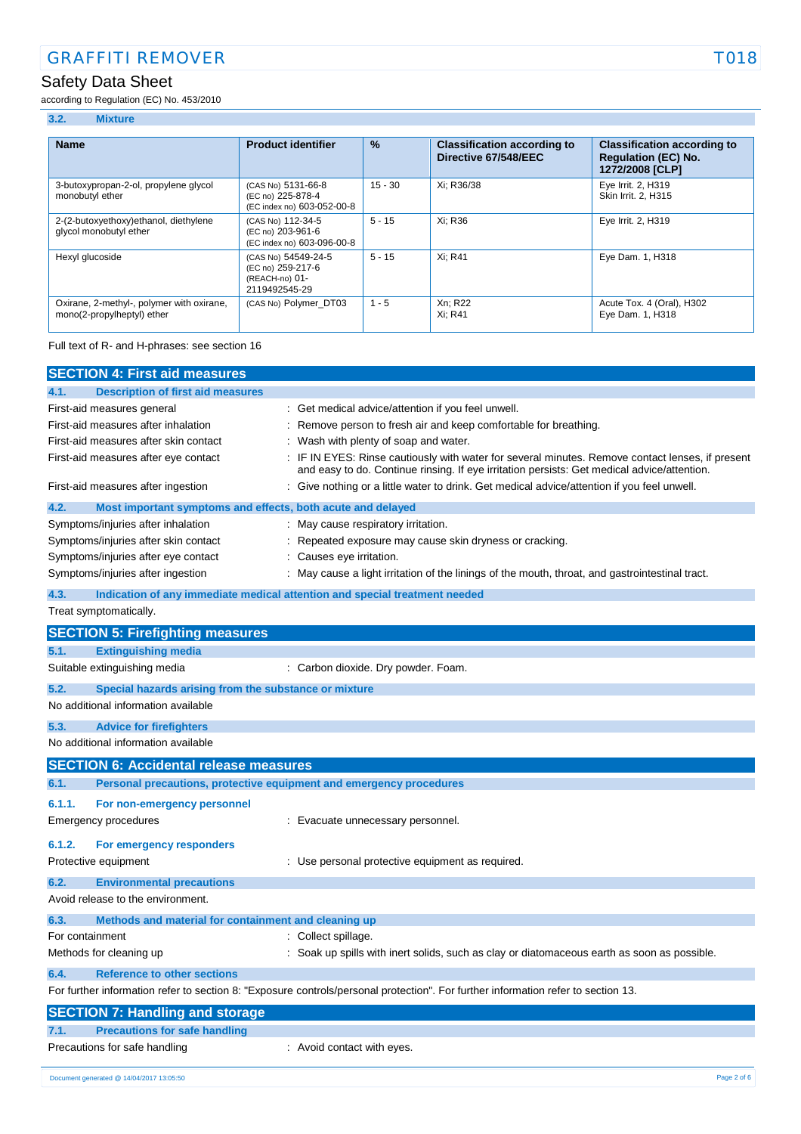# Safety Data Sheet

according to Regulation (EC) No. 453/2010

### **3.2. Mixture**

| <b>Name</b>                                                             | <b>Product identifier</b>                                                   | $\frac{9}{6}$ | <b>Classification according to</b><br>Directive 67/548/EEC | <b>Classification according to</b><br><b>Regulation (EC) No.</b><br>1272/2008 [CLP] |
|-------------------------------------------------------------------------|-----------------------------------------------------------------------------|---------------|------------------------------------------------------------|-------------------------------------------------------------------------------------|
| 3-butoxypropan-2-ol, propylene glycol<br>monobutyl ether                | (CAS No) 5131-66-8<br>(EC no) 225-878-4<br>(EC index no) 603-052-00-8       | $15 - 30$     | Xi: R36/38                                                 | Eye Irrit. 2, H319<br>Skin Irrit, 2, H315                                           |
| 2-(2-butoxyethoxy)ethanol, diethylene<br>glycol monobutyl ether         | (CAS No) 112-34-5<br>(EC no) 203-961-6<br>(EC index no) 603-096-00-8        | $5 - 15$      | Xi: R36                                                    | Eye Irrit. 2, H319                                                                  |
| Hexyl glucoside                                                         | (CAS No) 54549-24-5<br>(EC no) 259-217-6<br>(REACH-no) 01-<br>2119492545-29 | $5 - 15$      | Xi: R41                                                    | Eye Dam. 1, H318                                                                    |
| Oxirane, 2-methyl-, polymer with oxirane,<br>mono(2-propylheptyl) ether | (CAS No) Polymer DT03                                                       | $1 - 5$       | Xn; R22<br>Xi: R41                                         | Acute Tox. 4 (Oral), H302<br>Eye Dam. 1, H318                                       |

Full text of R- and H-phrases: see section 16

|                                       | <b>SECTION 4: First aid measures</b>                                                                                                                   |                                                                                                                                                                                                                                                                                                                                                              |
|---------------------------------------|--------------------------------------------------------------------------------------------------------------------------------------------------------|--------------------------------------------------------------------------------------------------------------------------------------------------------------------------------------------------------------------------------------------------------------------------------------------------------------------------------------------------------------|
| 4.1.                                  | <b>Description of first aid measures</b>                                                                                                               |                                                                                                                                                                                                                                                                                                                                                              |
| First-aid measures general            | First-aid measures after inhalation<br>First-aid measures after skin contact<br>First-aid measures after eye contact                                   | : Get medical advice/attention if you feel unwell.<br>Remove person to fresh air and keep comfortable for breathing.<br>Wash with plenty of soap and water.<br>IF IN EYES: Rinse cautiously with water for several minutes. Remove contact lenses, if present<br>and easy to do. Continue rinsing. If eye irritation persists: Get medical advice/attention. |
|                                       | First-aid measures after ingestion                                                                                                                     | Give nothing or a little water to drink. Get medical advice/attention if you feel unwell.                                                                                                                                                                                                                                                                    |
| 4.2.                                  | Most important symptoms and effects, both acute and delayed                                                                                            |                                                                                                                                                                                                                                                                                                                                                              |
|                                       | Symptoms/injuries after inhalation<br>Symptoms/injuries after skin contact<br>Symptoms/injuries after eye contact<br>Symptoms/injuries after ingestion | May cause respiratory irritation.<br>Repeated exposure may cause skin dryness or cracking.<br>Causes eye irritation.<br>May cause a light irritation of the linings of the mouth, throat, and gastrointestinal tract.                                                                                                                                        |
| 4.3.<br>Treat symptomatically.        |                                                                                                                                                        | Indication of any immediate medical attention and special treatment needed                                                                                                                                                                                                                                                                                   |
|                                       | <b>SECTION 5: Firefighting measures</b>                                                                                                                |                                                                                                                                                                                                                                                                                                                                                              |
| 5.1.                                  | <b>Extinguishing media</b>                                                                                                                             |                                                                                                                                                                                                                                                                                                                                                              |
|                                       | Suitable extinguishing media                                                                                                                           | : Carbon dioxide. Dry powder. Foam.                                                                                                                                                                                                                                                                                                                          |
| 5.2.                                  | Special hazards arising from the substance or mixture<br>No additional information available                                                           |                                                                                                                                                                                                                                                                                                                                                              |
| 5.3.                                  | <b>Advice for firefighters</b><br>No additional information available                                                                                  |                                                                                                                                                                                                                                                                                                                                                              |
|                                       | <b>SECTION 6: Accidental release measures</b>                                                                                                          |                                                                                                                                                                                                                                                                                                                                                              |
| 6.1.                                  | Personal precautions, protective equipment and emergency procedures                                                                                    |                                                                                                                                                                                                                                                                                                                                                              |
| 6.1.1.<br><b>Emergency procedures</b> | For non-emergency personnel                                                                                                                            | Evacuate unnecessary personnel.                                                                                                                                                                                                                                                                                                                              |
| 6.1.2.<br>Protective equipment        | For emergency responders                                                                                                                               | : Use personal protective equipment as required.                                                                                                                                                                                                                                                                                                             |
| 6.2.                                  | <b>Environmental precautions</b><br>Avoid release to the environment.                                                                                  |                                                                                                                                                                                                                                                                                                                                                              |
| 6.3.                                  | Methods and material for containment and cleaning up                                                                                                   |                                                                                                                                                                                                                                                                                                                                                              |
| For containment                       |                                                                                                                                                        | : Collect spillage.                                                                                                                                                                                                                                                                                                                                          |
| Methods for cleaning up               |                                                                                                                                                        | : Soak up spills with inert solids, such as clay or diatomaceous earth as soon as possible.                                                                                                                                                                                                                                                                  |
| 6.4.                                  | <b>Reference to other sections</b>                                                                                                                     |                                                                                                                                                                                                                                                                                                                                                              |
|                                       |                                                                                                                                                        | For further information refer to section 8: "Exposure controls/personal protection". For further information refer to section 13.                                                                                                                                                                                                                            |
|                                       | <b>SECTION 7: Handling and storage</b>                                                                                                                 |                                                                                                                                                                                                                                                                                                                                                              |
| 7.1.                                  | <b>Precautions for safe handling</b>                                                                                                                   |                                                                                                                                                                                                                                                                                                                                                              |
|                                       | Precautions for safe handling                                                                                                                          | : Avoid contact with eyes.                                                                                                                                                                                                                                                                                                                                   |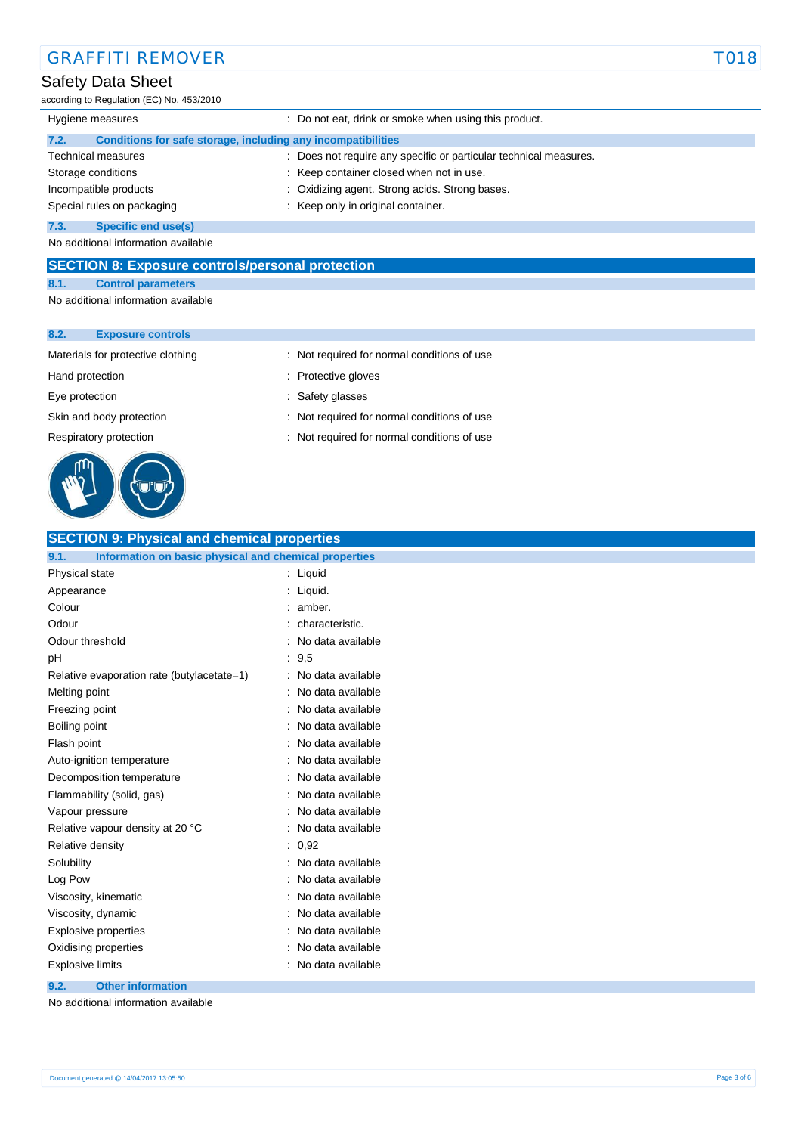# Safety Data Sheet

according to Regulation (EC) No. 453/2010

| Hygiene measures                                                     | : Do not eat, drink or smoke when using this product.             |  |
|----------------------------------------------------------------------|-------------------------------------------------------------------|--|
| Conditions for safe storage, including any incompatibilities<br>7.2. |                                                                   |  |
| <b>Technical measures</b>                                            | : Does not require any specific or particular technical measures. |  |
| Storage conditions                                                   | : Keep container closed when not in use.                          |  |
| Incompatible products                                                | : Oxidizing agent. Strong acids. Strong bases.                    |  |
| Special rules on packaging                                           | Keep only in original container.                                  |  |
| Specific end use(s)<br>7.3.                                          |                                                                   |  |
| No additional information available                                  |                                                                   |  |

**SECTION 8: Exposure controls/personal protection**

# **8.1. Control parameters**

No additional information available

#### **8.2. Exposure controls**

Materials for protective clothing : Not required for normal conditions of use



Hand protection **in the contract of the contract of the contract of the contract of the contract of the contract of the contract of the contract of the contract of the contract of the contract of the contract of the contra** 

- Eye protection  $\qquad \qquad$ : Safety glasses
- Skin and body protection : Not required for normal conditions of use
- Respiratory protection : Not required for normal conditions of use

# **SECTION 9: Physical and chemical properties**

| Information on basic physical and chemical properties<br>9.1. |                   |
|---------------------------------------------------------------|-------------------|
| Physical state                                                | Liquid<br>÷       |
| Appearance                                                    | Liquid.           |
| Colour                                                        | amber.            |
| Odour                                                         | characteristic.   |
| Odour threshold                                               | No data available |
| рH                                                            | 9,5               |
| Relative evaporation rate (butylacetate=1)                    | No data available |
| Melting point                                                 | No data available |
| Freezing point                                                | No data available |
| Boiling point                                                 | No data available |
| Flash point                                                   | No data available |
| Auto-ignition temperature                                     | No data available |
| Decomposition temperature                                     | No data available |
| Flammability (solid, gas)                                     | No data available |
| Vapour pressure                                               | No data available |
| Relative vapour density at 20 °C                              | No data available |
| Relative density                                              | 0,92<br>÷         |
| Solubility                                                    | No data available |
| Log Pow                                                       | No data available |
| Viscosity, kinematic                                          | No data available |
| Viscosity, dynamic                                            | No data available |
| <b>Explosive properties</b>                                   | No data available |
| Oxidising properties                                          | No data available |
| <b>Explosive limits</b>                                       | No data available |
|                                                               |                   |

#### **9.2. Other information**

No additional information available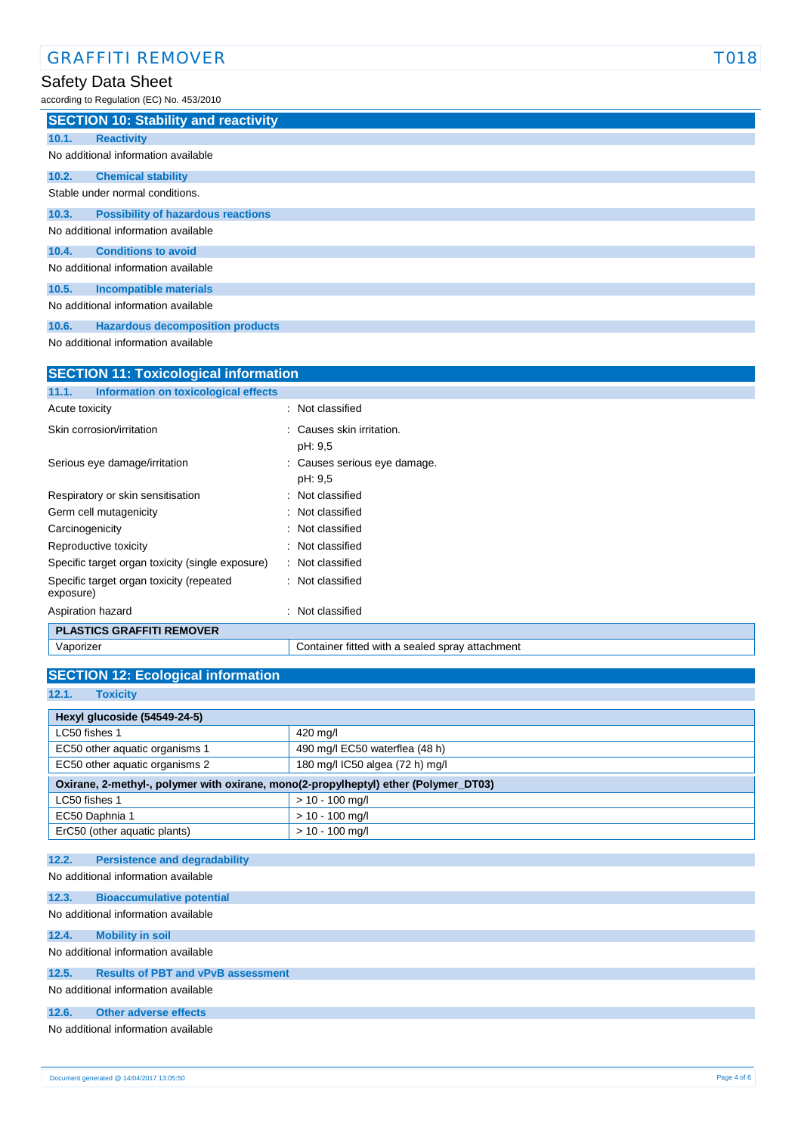# Safety Data Sheet

according to Regulation (EC) No. 453/2010

|                                     | <b>SECTION 10: Stability and reactivity</b> |  |  |
|-------------------------------------|---------------------------------------------|--|--|
| 10.1.                               | <b>Reactivity</b>                           |  |  |
| No additional information available |                                             |  |  |
| 10.2.                               | <b>Chemical stability</b>                   |  |  |
| Stable under normal conditions.     |                                             |  |  |
| 10.3.                               | <b>Possibility of hazardous reactions</b>   |  |  |
| No additional information available |                                             |  |  |
| 10.4.                               | <b>Conditions to avoid</b>                  |  |  |
| No additional information available |                                             |  |  |
| 10.5.                               | <b>Incompatible materials</b>               |  |  |
| No additional information available |                                             |  |  |

**10.6. Hazardous decomposition products**

No additional information available

| <b>SECTION 11: Toxicological information</b>          |                                                 |  |  |
|-------------------------------------------------------|-------------------------------------------------|--|--|
| Information on toxicological effects<br>11.1.         |                                                 |  |  |
| Acute toxicity                                        | : Not classified                                |  |  |
| Skin corrosion/irritation                             | : Causes skin irritation.<br>pH: 9,5            |  |  |
| Serious eye damage/irritation                         | : Causes serious eye damage.<br>pH: 9.5         |  |  |
| Respiratory or skin sensitisation                     | : Not classified                                |  |  |
| Germ cell mutagenicity                                | : Not classified                                |  |  |
| Carcinogenicity                                       | : Not classified                                |  |  |
| Reproductive toxicity                                 | : Not classified                                |  |  |
| Specific target organ toxicity (single exposure)      | : Not classified                                |  |  |
| Specific target organ toxicity (repeated<br>exposure) | : Not classified                                |  |  |
| Aspiration hazard                                     | : Not classified                                |  |  |
| <b>PLASTICS GRAFFITI REMOVER</b>                      |                                                 |  |  |
| Vaporizer                                             | Container fitted with a sealed spray attachment |  |  |

## **SECTION 12: Ecological information**

**12.1. Toxicity**

| Hexyl glucoside (54549-24-5)                                                        |  |  |  |
|-------------------------------------------------------------------------------------|--|--|--|
| 420 mg/l                                                                            |  |  |  |
| 490 mg/l EC50 waterflea (48 h)                                                      |  |  |  |
| 180 mg/l IC50 algea (72 h) mg/l                                                     |  |  |  |
| Oxirane, 2-methyl-, polymer with oxirane, mono(2-propylheptyl) ether (Polymer_DT03) |  |  |  |
| $> 10 - 100$ mg/l                                                                   |  |  |  |
| $> 10 - 100$ mg/l                                                                   |  |  |  |
| $> 10 - 100$ mg/l                                                                   |  |  |  |
|                                                                                     |  |  |  |

#### **12.2. Persistence and degradability**

No additional information available

# **12.3. Bioaccumulative potential** No additional information available **12.4. Mobility in soil** No additional information available **12.5. Results of PBT and vPvB assessment** No additional information available **12.6. Other adverse effects** No additional information available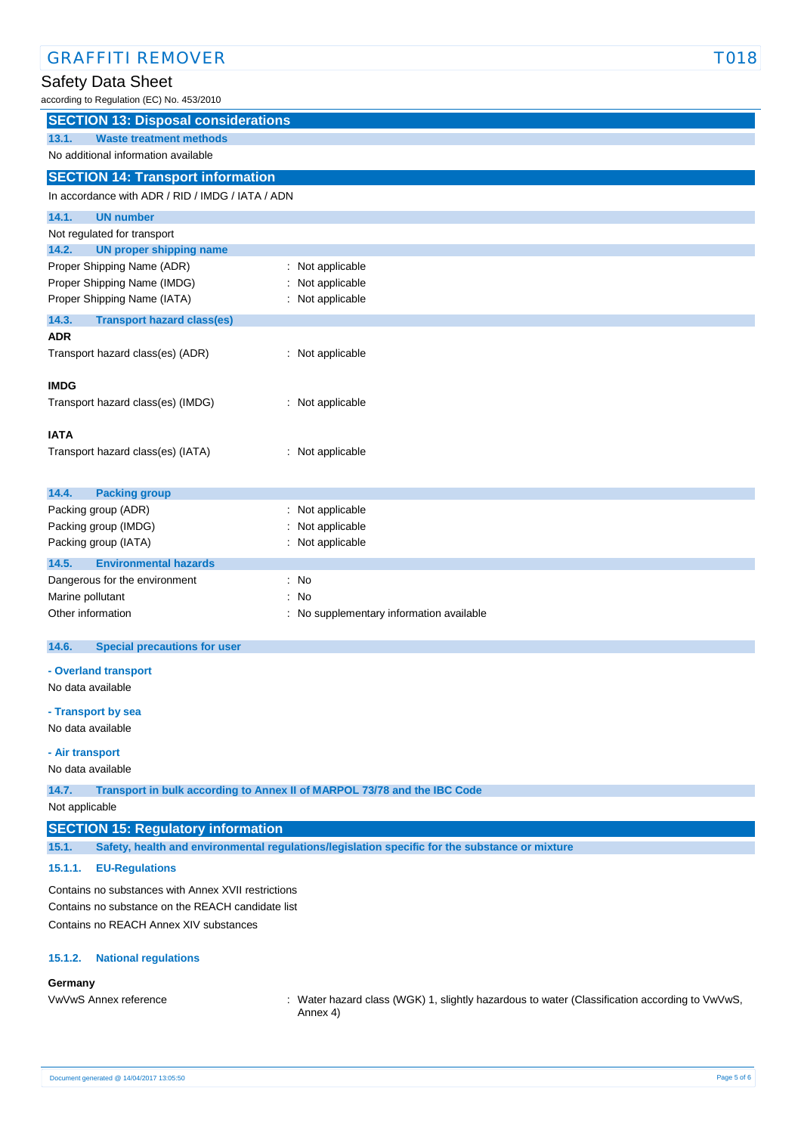| <b>GRAFFITI REMOVER</b>                                   |                                                                                                | <b>T018</b> |
|-----------------------------------------------------------|------------------------------------------------------------------------------------------------|-------------|
| Safety Data Sheet                                         |                                                                                                |             |
| according to Regulation (EC) No. 453/2010                 |                                                                                                |             |
| <b>SECTION 13: Disposal considerations</b>                |                                                                                                |             |
| <b>Waste treatment methods</b><br>13.1.                   |                                                                                                |             |
| No additional information available                       |                                                                                                |             |
| <b>SECTION 14: Transport information</b>                  |                                                                                                |             |
| In accordance with ADR / RID / IMDG / IATA / ADN          |                                                                                                |             |
| 14.1.<br><b>UN number</b>                                 |                                                                                                |             |
| Not regulated for transport                               |                                                                                                |             |
| <b>UN proper shipping name</b><br>14.2.                   |                                                                                                |             |
| Proper Shipping Name (ADR)<br>Proper Shipping Name (IMDG) | : Not applicable<br>Not applicable                                                             |             |
| Proper Shipping Name (IATA)                               | : Not applicable                                                                               |             |
| 14.3.<br><b>Transport hazard class(es)</b>                |                                                                                                |             |
| <b>ADR</b>                                                |                                                                                                |             |
| Transport hazard class(es) (ADR)                          | : Not applicable                                                                               |             |
|                                                           |                                                                                                |             |
| <b>IMDG</b>                                               |                                                                                                |             |
| Transport hazard class(es) (IMDG)                         | : Not applicable                                                                               |             |
| <b>IATA</b>                                               |                                                                                                |             |
| Transport hazard class(es) (IATA)                         | : Not applicable                                                                               |             |
|                                                           |                                                                                                |             |
| 14.4.<br><b>Packing group</b>                             |                                                                                                |             |
| Packing group (ADR)                                       | : Not applicable                                                                               |             |
| Packing group (IMDG)                                      | Not applicable                                                                                 |             |
| Packing group (IATA)                                      | Not applicable                                                                                 |             |
| 14.5.<br><b>Environmental hazards</b>                     |                                                                                                |             |
| Dangerous for the environment                             | : No<br>: No                                                                                   |             |
| Marine pollutant<br>Other information                     | : No supplementary information available                                                       |             |
|                                                           |                                                                                                |             |
| 14.6.<br><b>Special precautions for user</b>              |                                                                                                |             |
| - Overland transport                                      |                                                                                                |             |
| No data available                                         |                                                                                                |             |
| - Transport by sea                                        |                                                                                                |             |
| No data available                                         |                                                                                                |             |
| - Air transport                                           |                                                                                                |             |
| No data available                                         |                                                                                                |             |
| 14.7.                                                     | Transport in bulk according to Annex II of MARPOL 73/78 and the IBC Code                       |             |
| Not applicable                                            |                                                                                                |             |
| <b>SECTION 15: Regulatory information</b>                 |                                                                                                |             |
| 15.1.                                                     | Safety, health and environmental regulations/legislation specific for the substance or mixture |             |
| 15.1.1.<br><b>EU-Regulations</b>                          |                                                                                                |             |
| Contains no substances with Annex XVII restrictions       |                                                                                                |             |
| Contains no substance on the REACH candidate list         |                                                                                                |             |
| Contains no REACH Annex XIV substances                    |                                                                                                |             |
|                                                           |                                                                                                |             |
| <b>National regulations</b><br>15.1.2.                    |                                                                                                |             |
| Germany                                                   |                                                                                                |             |

VwVwS Annex reference : Water hazard class (WGK) 1, slightly hazardous to water (Classification according to VwVwS, Annex 4)